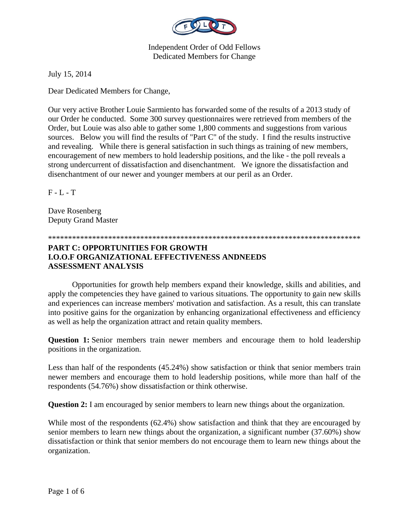

July 15, 2014

Dear Dedicated Members for Change,

Our very active Brother Louie Sarmiento has forwarded some of the results of a 2013 study of our Order he conducted. Some 300 survey questionnaires were retrieved from members of the Order, but Louie was also able to gather some 1,800 comments and suggestions from various sources. Below you will find the results of "Part C" of the study. I find the results instructive and revealing. While there is general satisfaction in such things as training of new members, encouragement of new members to hold leadership positions, and the like - the poll reveals a strong undercurrent of dissatisfaction and disenchantment. We ignore the dissatisfaction and disenchantment of our newer and younger members at our peril as an Order.

 $F - I$ .  $T$ 

Dave Rosenberg Deputy Grand Master

\*\*\*\*\*\*\*\*\*\*\*\*\*\*\*\*\*\*\*\*\*\*\*\*\*\*\*\*\*\*\*\*\*\*\*\*\*\*\*\*\*\*\*\*\*\*\*\*\*\*\*\*\*\*\*\*\*\*\*\*\*\*\*\*\*\*\*\*\*\*\*\*\*\*\*\*\*\*

## **PART C: OPPORTUNITIES FOR GROWTH I.O.O.F ORGANIZATIONAL EFFECTIVENESS ANDNEEDS ASSESSMENT ANALYSIS**

Opportunities for growth help members expand their knowledge, skills and abilities, and apply the competencies they have gained to various situations. The opportunity to gain new skills and experiences can increase members' motivation and satisfaction. As a result, this can translate into positive gains for the organization by enhancing organizational effectiveness and efficiency as well as help the organization attract and retain quality members.

**Question 1:** Senior members train newer members and encourage them to hold leadership positions in the organization.

Less than half of the respondents (45.24%) show satisfaction or think that senior members train newer members and encourage them to hold leadership positions, while more than half of the respondents (54.76%) show dissatisfaction or think otherwise.

**Question 2:** I am encouraged by senior members to learn new things about the organization.

While most of the respondents (62.4%) show satisfaction and think that they are encouraged by senior members to learn new things about the organization, a significant number (37.60%) show dissatisfaction or think that senior members do not encourage them to learn new things about the organization.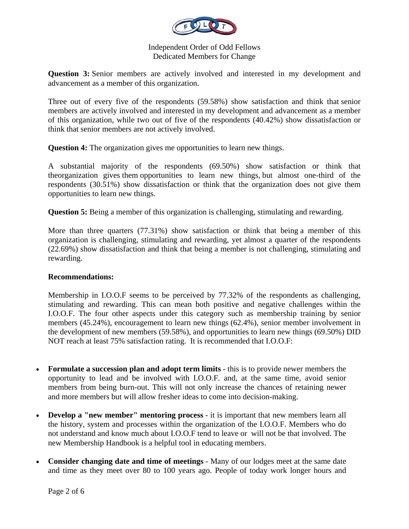

**Question 3:** Senior members are actively involved and interested in my development and advancement as a member of this organization.

Three out of every five of the respondents (59.58%) show satisfaction and think that senior members are actively involved and interested in my development and advancement as a member of this organization, while two out of five of the respondents (40.42%) show dissatisfaction or think that senior members are not actively involved.

**Question 4:** The organization gives me opportunities to learn new things.

A substantial majority of the respondents (69.50%) show satisfaction or think that theorganization gives them opportunities to learn new things, but almost one-third of the respondents (30.51%) show dissatisfaction or think that the organization does not give them opportunities to learn new things.

**Question 5:** Being a member of this organization is challenging, stimulating and rewarding.

More than three quarters (77.31%) show satisfaction or think that being a member of this organization is challenging, stimulating and rewarding, yet almost a quarter of the respondents (22.69%) show dissatisfaction and think that being a member is not challenging, stimulating and rewarding.

## **Recommendations:**

Membership in I.O.O.F seems to be perceived by 77.32% of the respondents as challenging, stimulating and rewarding. This can mean both positive and negative challenges within the I.O.O.F. The four other aspects under this category such as membership training by senior members (45.24%), encouragement to learn new things (62.4%), senior member involvement in the development of new members (59.58%), and opportunities to learn new things (69.50%) DID NOT reach at least 75% satisfaction rating. It is recommended that I.O.O.F:

- **Formulate a succession plan and adopt term limits** this is to provide newer members the opportunity to lead and be involved with I.O.O.F. and, at the same time, avoid senior members from being burn-out. This will not only increase the chances of retaining newer and more members but will allow fresher ideas to come into decision-making.
- **Develop a "new member" mentoring process** it is important that new members learn all the history, system and processes within the organization of the I.O.O.F. Members who do not understand and know much about I.O.O.F tend to leave or will not be that involved. The new Membership Handbook is a helpful tool in educating members.
- **Consider changing date and time of meetings** Many of our lodges meet at the same date and time as they meet over 80 to 100 years ago. People of today work longer hours and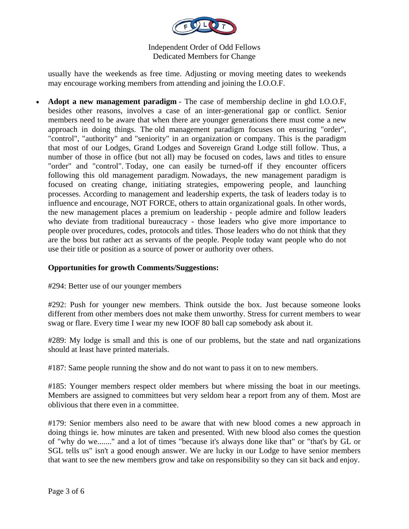

usually have the weekends as free time. Adjusting or moving meeting dates to weekends may encourage working members from attending and joining the I.O.O.F.

 **Adopt a new management paradigm** - The case of membership decline in ghd I.O.O.F, besides other reasons, involves a case of an inter-generational gap or conflict. Senior members need to be aware that when there are younger generations there must come a new approach in doing things. The old management paradigm focuses on ensuring "order", "control", "authority" and "seniority" in an organization or company. This is the paradigm that most of our Lodges, Grand Lodges and Sovereign Grand Lodge still follow. Thus, a number of those in office (but not all) may be focused on codes, laws and titles to ensure "order" and "control". Today, one can easily be turned-off if they encounter officers following this old management paradigm. Nowadays, the new management paradigm is focused on creating change, initiating strategies, empowering people, and launching processes. According to management and leadership experts, the task of leaders today is to influence and encourage, NOT FORCE, others to attain organizational goals. In other words, the new management places a premium on leadership - people admire and follow leaders who deviate from traditional bureaucracy - those leaders who give more importance to people over procedures, codes, protocols and titles. Those leaders who do not think that they are the boss but rather act as servants of the people. People today want people who do not use their title or position as a source of power or authority over others.

# **Opportunities for growth Comments/Suggestions:**

#294: Better use of our younger members

#292: Push for younger new members. Think outside the box. Just because someone looks different from other members does not make them unworthy. Stress for current members to wear swag or flare. Every time I wear my new IOOF 80 ball cap somebody ask about it.

#289: My lodge is small and this is one of our problems, but the state and natl organizations should at least have printed materials.

#187: Same people running the show and do not want to pass it on to new members.

#185: Younger members respect older members but where missing the boat in our meetings. Members are assigned to committees but very seldom hear a report from any of them. Most are oblivious that there even in a committee.

#179: Senior members also need to be aware that with new blood comes a new approach in doing things ie. how minutes are taken and presented. With new blood also comes the question of "why do we......." and a lot of times "because it's always done like that" or "that's by GL or SGL tells us" isn't a good enough answer. We are lucky in our Lodge to have senior members that want to see the new members grow and take on responsibility so they can sit back and enjoy.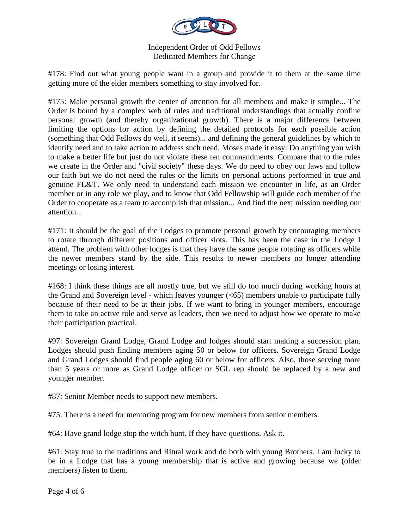

#178: Find out what young people want in a group and provide it to them at the same time getting more of the elder members something to stay involved for.

#175: Make personal growth the center of attention for all members and make it simple... The Order is bound by a complex web of rules and traditional understandings that actually confine personal growth (and thereby organizational growth). There is a major difference between limiting the options for action by defining the detailed protocols for each possible action (something that Odd Fellows do well, it seems)... and defining the general guidelines by which to identify need and to take action to address such need. Moses made it easy: Do anything you wish to make a better life but just do not violate these ten commandments. Compare that to the rules we create in the Order and "civil society" these days. We do need to obey our laws and follow our faith but we do not need the rules or the limits on personal actions performed in true and genuine FL&T. We only need to understand each mission we encounter in life, as an Order member or in any role we play, and to know that Odd Fellowship will guide each member of the Order to cooperate as a team to accomplish that mission... And find the next mission needing our attention...

#171: It should be the goal of the Lodges to promote personal growth by encouraging members to rotate through different positions and officer slots. This has been the case in the Lodge I attend. The problem with other lodges is that they have the same people rotating as officers while the newer members stand by the side. This results to newer members no longer attending meetings or losing interest.

#168: I think these things are all mostly true, but we still do too much during working hours at the Grand and Sovereign level - which leaves younger (<65) members unable to participate fully because of their need to be at their jobs. If we want to bring in younger members, encourage them to take an active role and serve as leaders, then we need to adjust how we operate to make their participation practical.

#97: Sovereign Grand Lodge, Grand Lodge and lodges should start making a succession plan. Lodges should push finding members aging 50 or below for officers. Sovereign Grand Lodge and Grand Lodges should find people aging 60 or below for officers. Also, those serving more than 5 years or more as Grand Lodge officer or SGL rep should be replaced by a new and younger member.

#87: Senior Member needs to support new members.

#75: There is a need for mentoring program for new members from senior members.

#64: Have grand lodge stop the witch hunt. If they have questions. Ask it.

#61: Stay true to the traditions and Ritual work and do both with young Brothers. I am lucky to be in a Lodge that has a young membership that is active and growing because we (older members) listen to them.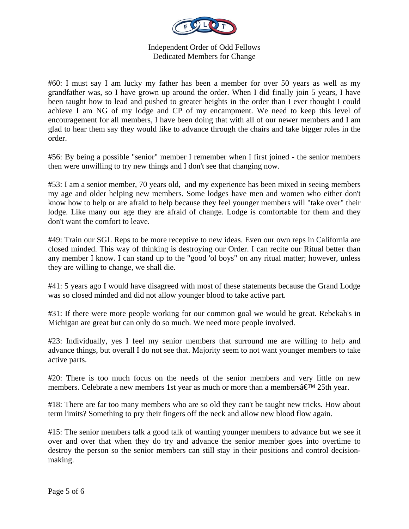

#60: I must say I am lucky my father has been a member for over 50 years as well as my grandfather was, so I have grown up around the order. When I did finally join 5 years, I have been taught how to lead and pushed to greater heights in the order than I ever thought I could achieve I am NG of my lodge and CP of my encampment. We need to keep this level of encouragement for all members, I have been doing that with all of our newer members and I am glad to hear them say they would like to advance through the chairs and take bigger roles in the order.

#56: By being a possible "senior" member I remember when I first joined - the senior members then were unwilling to try new things and I don't see that changing now.

#53: I am a senior member, 70 years old, and my experience has been mixed in seeing members my age and older helping new members. Some lodges have men and women who either don't know how to help or are afraid to help because they feel younger members will "take over" their lodge. Like many our age they are afraid of change. Lodge is comfortable for them and they don't want the comfort to leave.

#49: Train our SGL Reps to be more receptive to new ideas. Even our own reps in California are closed minded. This way of thinking is destroying our Order. I can recite our Ritual better than any member I know. I can stand up to the "good 'ol boys" on any ritual matter; however, unless they are willing to change, we shall die.

#41: 5 years ago I would have disagreed with most of these statements because the Grand Lodge was so closed minded and did not allow younger blood to take active part.

#31: If there were more people working for our common goal we would be great. Rebekah's in Michigan are great but can only do so much. We need more people involved.

#23: Individually, yes I feel my senior members that surround me are willing to help and advance things, but overall I do not see that. Majority seem to not want younger members to take active parts.

#20: There is too much focus on the needs of the senior members and very little on new members. Celebrate a new members 1st year as much or more than a members $\hat{a} \in M$  25th year.

#18: There are far too many members who are so old they can't be taught new tricks. How about term limits? Something to pry their fingers off the neck and allow new blood flow again.

#15: The senior members talk a good talk of wanting younger members to advance but we see it over and over that when they do try and advance the senior member goes into overtime to destroy the person so the senior members can still stay in their positions and control decisionmaking.